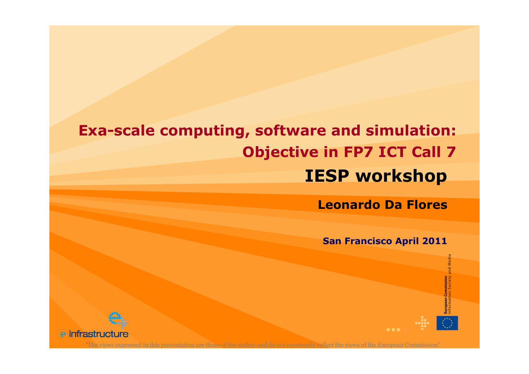## IESP workshopExa-scale computing, software and simulation: Objective in FP7 ICT Call 7

Leonardo Da Flores

San Francisco April 2011

es<br>E

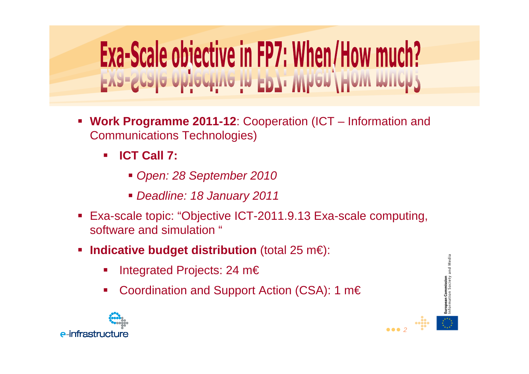## Exa-Scale objective in FP7: When/How much?

- **Service Service Work Programme 2011-12**: Cooperation (ICT – Information and Communications Technologies)
	- $\mathbf{r}$  **ICT Call 7:**
		- Open: 28 September 2010
		- Deadline: 18 January 2011
- Exa-scale topic: "Objective ICT-2011.9.13 Exa-scale computing, software and simulation "
- $\mathcal{L}(\mathcal{L})$  **Indicative budget distribution** (total 25 m€):
	- T, Integrated Projects: 24 m€
	- T, Coordination and Support Action (CSA): 1 m€



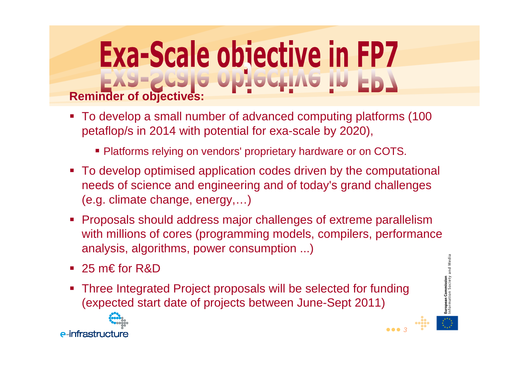## **Reminder of objectives:**

- To develop a small number of advanced computing platforms (100 petaflop/s in 2014 with potential for exa-scale by 2020),
	- Platforms relying on vendors' proprietary hardware or on COTS.
- To develop optimised application codes driven by the computational needs of science and engineering and of today's grand challenges(e.g. climate change, energy,…)
- Proposals should address major challenges of extreme parallelism with millions of cores (programming models, compilers, performance analysis, algorithms, power consumption ...)
- 25 m€ for R&D
- $\mathcal{L}(\mathcal{L})$  Three Integrated Project proposals will be selected for funding (expected start date of projects between June-Sept 2011)





••• 3